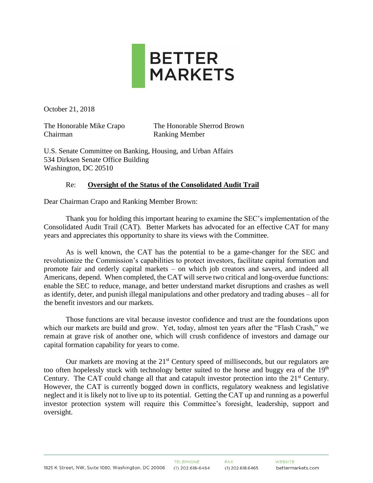

October 21, 2018

Chairman Ranking Member

The Honorable Mike Crapo The Honorable Sherrod Brown

U.S. Senate Committee on Banking, Housing, and Urban Affairs 534 Dirksen Senate Office Building Washington, DC 20510

### Re: **Oversight of the Status of the Consolidated Audit Trail**

Dear Chairman Crapo and Ranking Member Brown:

Thank you for holding this important hearing to examine the SEC's implementation of the Consolidated Audit Trail (CAT). Better Markets has advocated for an effective CAT for many years and appreciates this opportunity to share its views with the Committee.

As is well known, the CAT has the potential to be a game-changer for the SEC and revolutionize the Commission's capabilities to protect investors, facilitate capital formation and promote fair and orderly capital markets – on which job creators and savers, and indeed all Americans, depend. When completed, the CAT will serve two critical and long-overdue functions: enable the SEC to reduce, manage, and better understand market disruptions and crashes as well as identify, deter, and punish illegal manipulations and other predatory and trading abuses – all for the benefit investors and our markets.

Those functions are vital because investor confidence and trust are the foundations upon which our markets are build and grow. Yet, today, almost ten years after the "Flash Crash," we remain at grave risk of another one, which will crush confidence of investors and damage our capital formation capability for years to come.

Our markets are moving at the  $21<sup>st</sup>$  Century speed of milliseconds, but our regulators are too often hopelessly stuck with technology better suited to the horse and buggy era of the 19<sup>th</sup> Century. The CAT could change all that and catapult investor protection into the 21<sup>st</sup> Century. However, the CAT is currently bogged down in conflicts, regulatory weakness and legislative neglect and it is likely not to live up to its potential. Getting the CAT up and running as a powerful investor protection system will require this Committee's foresight, leadership, support and oversight.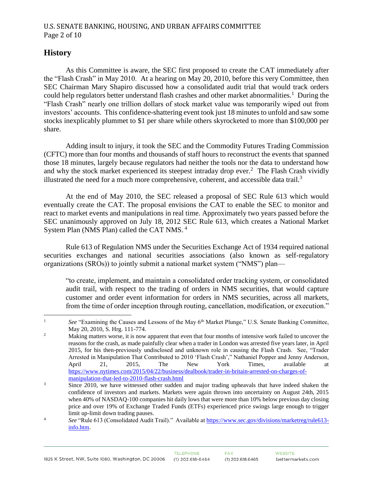## **History**

As this Committee is aware, the SEC first proposed to create the CAT immediately after the "Flash Crash" in May 2010. At a hearing on May 20, 2010, before this very Committee, then SEC Chairman Mary Shapiro discussed how a consolidated audit trial that would track orders could help regulators better understand flash crashes and other market abnormalities.<sup>1</sup> During the "Flash Crash" nearly one trillion dollars of stock market value was temporarily wiped out from investors' accounts. This confidence-shattering event took just 18 minutes to unfold and saw some stocks inexplicably plummet to \$1 per share while others skyrocketed to more than \$100,000 per share.

Adding insult to injury, it took the SEC and the Commodity Futures Trading Commission (CFTC) more than four months and thousands of staff hours to reconstruct the events that spanned those 18 minutes, largely because regulators had neither the tools nor the data to understand how and why the stock market experienced its steepest intraday drop ever.<sup>2</sup> The Flash Crash vividly illustrated the need for a much more comprehensive, coherent, and accessible data trail.<sup>3</sup>

At the end of May 2010, the SEC released a proposal of SEC Rule 613 which would eventually create the CAT. The proposal envisions the CAT to enable the SEC to monitor and react to market events and manipulations in real time. Approximately two years passed before the SEC unanimously approved on July 18, 2012 SEC Rule 613, which creates a National Market System Plan (NMS Plan) called the CAT NMS.<sup>4</sup>

Rule 613 of Regulation NMS under the Securities Exchange Act of 1934 required national securities exchanges and national securities associations (also known as self-regulatory organizations (SROs)) to jointly submit a national market system ("NMS") plan—

"to create, implement, and maintain a consolidated order tracking system, or consolidated audit trail, with respect to the trading of orders in NMS securities, that would capture customer and order event information for orders in NMS securities, across all markets, from the time of order inception through routing, cancellation, modification, or execution."

 $\mathbf{1}$ See "Examining the Causes and Lessons of the May 6<sup>th</sup> Market Plunge," U.S. Senate Banking Committee, May 20, 2010, S. Hrg. 111-774.

<sup>&</sup>lt;sup>2</sup> Making matters worse, it is now apparent that even that four months of intensive work failed to uncover the reasons for the crash, as made painfully clear when a trader in London was arrested five years later, in April 2015, for his then-previously undisclosed and unknown role in causing the Flash Crash. See, "Trader Arrested in Manipulation That Contributed to 2010 'Flash Crash'," Nathaniel Popper and Jenny Anderson, April 21, 2015, The New York Times, available at [https://www.nytimes.com/2015/04/22/business/dealbook/trader-in-britain-arrested-on-charges-of](https://www.nytimes.com/2015/04/22/business/dealbook/trader-in-britain-arrested-on-charges-of-manipulation-that-led-to-2010-flash-crash.html)[manipulation-that-led-to-2010-flash-crash.html](https://www.nytimes.com/2015/04/22/business/dealbook/trader-in-britain-arrested-on-charges-of-manipulation-that-led-to-2010-flash-crash.html)

<sup>&</sup>lt;sup>3</sup> Since 2010, we have witnessed other sudden and major trading upheavals that have indeed shaken the confidence of investors and markets. Markets were again thrown into uncertainty on August 24th, 2015 when 40% of NASDAQ-100 companies hit daily lows that were more than 10% below previous day closing price and over 19% of Exchange Traded Funds (ETFs) experienced price swings large enough to trigger limit up-limit down trading pauses.

<sup>&</sup>lt;sup>4</sup> See "Rule 613 (Consolidated Audit Trail)." Available at [https://www.sec.gov/divisions/marketreg/rule613](https://www.sec.gov/divisions/marketreg/rule613-info.htm) [info.htm.](https://www.sec.gov/divisions/marketreg/rule613-info.htm)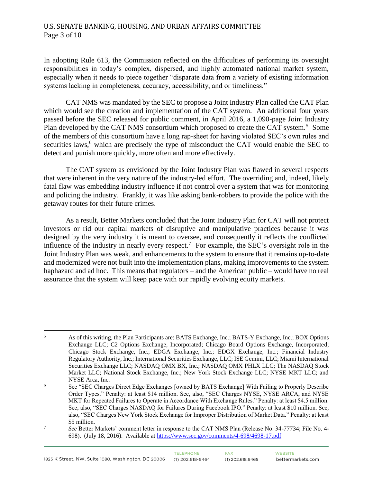### U.S. SENATE BANKING, HOUSING, AND URBAN AFFAIRS COMMITTEE Page 3 of 10

In adopting Rule 613, the Commission reflected on the difficulties of performing its oversight responsibilities in today's complex, dispersed, and highly automated national market system, especially when it needs to piece together "disparate data from a variety of existing information systems lacking in completeness, accuracy, accessibility, and or timeliness."

CAT NMS was mandated by the SEC to propose a Joint Industry Plan called the CAT Plan which would see the creation and implementation of the CAT system. An additional four years passed before the SEC released for public comment, in April 2016, a 1,090-page Joint Industry Plan developed by the CAT NMS consortium which proposed to create the CAT system.<sup>5</sup> Some of the members of this consortium have a long rap-sheet for having violated SEC's own rules and securities laws,<sup>6</sup> which are precisely the type of misconduct the CAT would enable the SEC to detect and punish more quickly, more often and more effectively.

The CAT system as envisioned by the Joint Industry Plan was flawed in several respects that were inherent in the very nature of the industry-led effort. The overriding and, indeed, likely fatal flaw was embedding industry influence if not control over a system that was for monitoring and policing the industry. Frankly, it was like asking bank-robbers to provide the police with the getaway routes for their future crimes.

As a result, Better Markets concluded that the Joint Industry Plan for CAT will not protect investors or rid our capital markets of disruptive and manipulative practices because it was designed by the very industry it is meant to oversee, and consequently it reflects the conflicted influence of the industry in nearly every respect.<sup>7</sup> For example, the SEC's oversight role in the Joint Industry Plan was weak, and enhancements to the system to ensure that it remains up-to-date and modernized were not built into the implementation plans, making improvements to the system haphazard and ad hoc. This means that regulators – and the American public – would have no real assurance that the system will keep pace with our rapidly evolving equity markets.

 $\overline{5}$ <sup>5</sup> As of this writing, the Plan Participants are: BATS Exchange, Inc.; BATS-Y Exchange, Inc.; BOX Options Exchange LLC; C2 Options Exchange, Incorporated; Chicago Board Options Exchange, Incorporated; Chicago Stock Exchange, Inc.; EDGA Exchange, Inc.; EDGX Exchange, Inc.; Financial Industry Regulatory Authority, Inc.; International Securities Exchange, LLC; ISE Gemini, LLC; Miami International Securities Exchange LLC; NASDAQ OMX BX, Inc.; NASDAQ OMX PHLX LLC; The NASDAQ Stock Market LLC; National Stock Exchange, Inc.; New York Stock Exchange LLC; NYSE MKT LLC; and NYSE Arca, Inc.

<sup>6</sup> See "SEC Charges Direct Edge Exchanges [owned by BATS Exchange] With Failing to Properly Describe Order Types." Penalty: at least \$14 million. See, also, "SEC Charges NYSE, NYSE ARCA, and NYSE MKT for Repeated Failures to Operate in Accordance With Exchange Rules." Penalty: at least \$4.5 million. See, also, "SEC Charges NASDAQ for Failures During Facebook IPO." Penalty: at least \$10 million. See, also, "SEC Charges New York Stock Exchange for Improper Distribution of Market Data." Penalty: at least \$5 million.

<sup>7</sup> *See* Better Markets' comment letter in response to the CAT NMS Plan (Release No. 34-77734; File No. 4- 698). (July 18, 2016). Available at<https://www.sec.gov/comments/4-698/4698-17.pdf>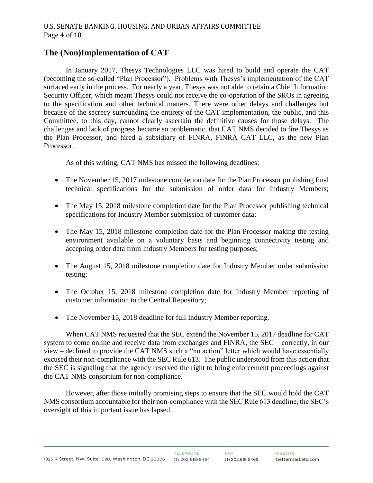# **The (Non)Implementation of CAT**

In January 2017, Thesys Technologies LLC was hired to build and operate the CAT (becoming the so-called "Plan Processor"). Problems with Thesys's implementation of the CAT surfaced early in the process. For nearly a year, Thesys was not able to retain a Chief Information Security Officer, which meant Thesys could not receive the co-operation of the SROs in agreeing to the specification and other technical matters. There were other delays and challenges but because of the secrecy surrounding the entirety of the CAT implementation, the public, and this Committee, to this day, cannot clearly ascertain the definitive causes for those delays. The challenges and lack of progress became so problematic, that CAT NMS decided to fire Thesys as the Plan Processor, and hired a subsidiary of FINRA, FINRA CAT LLC, as the new Plan Processor.

As of this writing, CAT NMS has missed the following deadlines:

- The November 15, 2017 milestone completion date for the Plan Processor publishing final technical specifications for the submission of order data for Industry Members;
- The May 15, 2018 milestone completion date for the Plan Processor publishing technical specifications for Industry Member submission of customer data;
- The May 15, 2018 milestone completion date for the Plan Processor making the testing environment available on a voluntary basis and beginning connectivity testing and accepting order data from Industry Members for testing purposes;
- The August 15, 2018 milestone completion date for Industry Member order submission testing;
- The October 15, 2018 milestone completion date for Industry Member reporting of customer information to the Central Repository;
- The November 15, 2018 deadline for full Industry Member reporting.

When CAT NMS requested that the SEC extend the November 15, 2017 deadline for CAT system to come online and receive data from exchanges and FINRA, the SEC – correctly, in our view – declined to provide the CAT NMS such a "no action" letter which would have essentially excused their non-compliance with the SEC Rule 613. The public understood from this action that the SEC is signaling that the agency reserved the right to bring enforcement proceedings against the CAT NMS consortium for non-compliance.

However, after those initially promising steps to ensure that the SEC would hold the CAT NMS consortium accountable for their non-compliance with the SEC Rule 613 deadline, the SEC's oversight of this important issue has lapsed.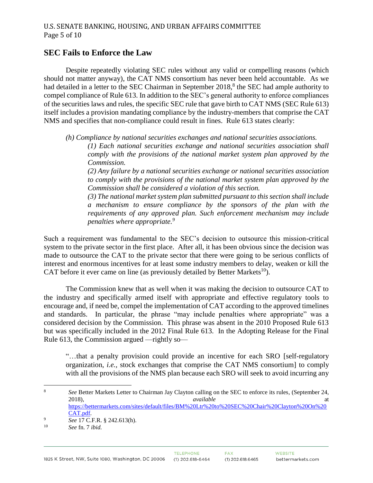### **SEC Fails to Enforce the Law**

Despite repeatedly violating SEC rules without any valid or compelling reasons (which should not matter anyway), the CAT NMS consortium has never been held accountable. As we had detailed in a letter to the SEC Chairman in September 2018,<sup>8</sup> the SEC had ample authority to compel compliance of Rule 613. In addition to the SEC's general authority to enforce compliances of the securities laws and rules, the specific SEC rule that gave birth to CAT NMS (SEC Rule 613) itself includes a provision mandating compliance by the industry-members that comprise the CAT NMS and specifies that non-compliance could result in fines. Rule 613 states clearly:

*(h) Compliance by national securities exchanges and national securities associations.*

*(1) Each national securities exchange and national securities association shall comply with the provisions of the national market system plan approved by the Commission.*

*(2) Any failure by a national securities exchange or national securities association to comply with the provisions of the national market system plan approved by the Commission shall be considered a violation of this section.*

*(3) The national market system plan submitted pursuant to this section shall include a mechanism to ensure compliance by the sponsors of the plan with the requirements of any approved plan. Such enforcement mechanism may include penalties where appropriate.<sup>9</sup>*

Such a requirement was fundamental to the SEC's decision to outsource this mission-critical system to the private sector in the first place. After all, it has been obvious since the decision was made to outsource the CAT to the private sector that there were going to be serious conflicts of interest and enormous incentives for at least some industry members to delay, weaken or kill the CAT before it ever came on line (as previously detailed by Better Markets<sup>10</sup>).

The Commission knew that as well when it was making the decision to outsource CAT to the industry and specifically armed itself with appropriate and effective regulatory tools to encourage and, if need be, compel the implementation of CAT according to the approved timelines and standards. In particular, the phrase "may include penalties where appropriate" was a considered decision by the Commission. This phrase was absent in the 2010 Proposed Rule 613 but was specifically included in the 2012 Final Rule 613. In the Adopting Release for the Final Rule 613, the Commission argued —rightly so—

"…that a penalty provision could provide an incentive for each SRO [self-regulatory organization, *i.e.,* stock exchanges that comprise the CAT NMS consortium] to comply with all the provisions of the NMS plan because each SRO will seek to avoid incurring any

 $\overline{a}$ <sup>8</sup> *See* Better Markets Letter to Chairman Jay Clayton calling on the SEC to enforce its rules, (September 24, 2018), *available* at the attention of the state at the state at the state at the state at the state at the state at the state at the state at the state at the state at the state at the state at the state at the state at [https://bettermarkets.com/sites/default/files/BM%20Ltr%20to%20SEC%20Chair%20Clayton%20On%20](https://bettermarkets.com/sites/default/files/BM%20Ltr%20to%20SEC%20Chair%20Clayton%20On%20CAT.pdf) [CAT.pdf.](https://bettermarkets.com/sites/default/files/BM%20Ltr%20to%20SEC%20Chair%20Clayton%20On%20CAT.pdf)

<sup>&</sup>lt;sup>9</sup> *See* 17 C.F.R. § 242.613(h).

<sup>10</sup> *See* fn. 7 *ibid.*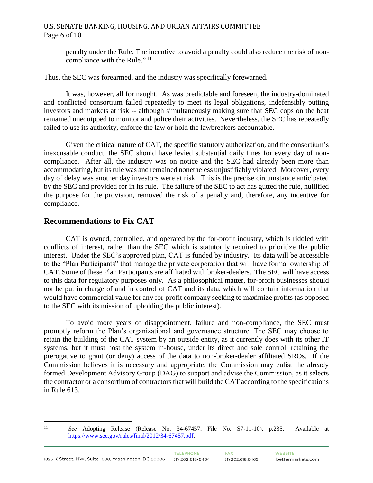#### U.S. SENATE BANKING, HOUSING, AND URBAN AFFAIRS COMMITTEE Page 6 of 10

penalty under the Rule. The incentive to avoid a penalty could also reduce the risk of noncompliance with the Rule."<sup>11</sup>

Thus, the SEC was forearmed, and the industry was specifically forewarned.

It was, however, all for naught. As was predictable and foreseen, the industry-dominated and conflicted consortium failed repeatedly to meet its legal obligations, indefensibly putting investors and markets at risk -- although simultaneously making sure that SEC cops on the beat remained unequipped to monitor and police their activities. Nevertheless, the SEC has repeatedly failed to use its authority, enforce the law or hold the lawbreakers accountable.

Given the critical nature of CAT, the specific statutory authorization, and the consortium's inexcusable conduct, the SEC should have levied substantial daily fines for every day of noncompliance. After all, the industry was on notice and the SEC had already been more than accommodating, but its rule was and remained nonetheless unjustifiably violated. Moreover, every day of delay was another day investors were at risk. This is the precise circumstance anticipated by the SEC and provided for in its rule. The failure of the SEC to act has gutted the rule, nullified the purpose for the provision, removed the risk of a penalty and, therefore, any incentive for compliance.

## **Recommendations to Fix CAT**

 $11\,$ 

CAT is owned, controlled, and operated by the for-profit industry, which is riddled with conflicts of interest, rather than the SEC which is statutorily required to prioritize the public interest. Under the SEC's approved plan, CAT is funded by industry. Its data will be accessible to the "Plan Participants" that manage the private corporation that will have formal ownership of CAT. Some of these Plan Participants are affiliated with broker-dealers. The SEC will have access to this data for regulatory purposes only. As a philosophical matter, for-profit businesses should not be put in charge of and in control of CAT and its data, which will contain information that would have commercial value for any for-profit company seeking to maximize profits (as opposed to the SEC with its mission of upholding the public interest).

To avoid more years of disappointment, failure and non-compliance, the SEC must promptly reform the Plan's organizational and governance structure. The SEC may choose to retain the building of the CAT system by an outside entity, as it currently does with its other IT systems, but it must host the system in-house, under its direct and sole control, retaining the prerogative to grant (or deny) access of the data to non-broker-dealer affiliated SROs. If the Commission believes it is necessary and appropriate, the Commission may enlist the already formed Development Advisory Group (DAG) to support and advise the Commission, as it selects the contractor or a consortium of contractors that will build the CAT according to the specifications in Rule 613.

<sup>11</sup> *See* Adopting Release (Release No. 34-67457; File No. S7-11-10), p.235. Available at [https://www.sec.gov/rules/final/2012/34-67457.pdf.](https://www.sec.gov/rules/final/2012/34-67457.pdf)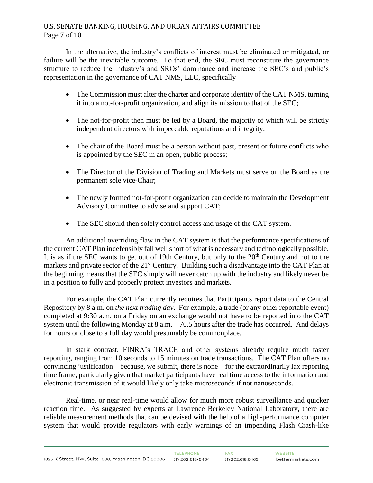### U.S. SENATE BANKING, HOUSING, AND URBAN AFFAIRS COMMITTEE Page 7 of 10

In the alternative, the industry's conflicts of interest must be eliminated or mitigated, or failure will be the inevitable outcome. To that end, the SEC must reconstitute the governance structure to reduce the industry's and SROs' dominance and increase the SEC's and public's representation in the governance of CAT NMS, LLC, specifically—

- The Commission must alter the charter and corporate identity of the CAT NMS, turning it into a not-for-profit organization, and align its mission to that of the SEC;
- The not-for-profit then must be led by a Board, the majority of which will be strictly independent directors with impeccable reputations and integrity;
- The chair of the Board must be a person without past, present or future conflicts who is appointed by the SEC in an open, public process;
- The Director of the Division of Trading and Markets must serve on the Board as the permanent sole vice-Chair;
- The newly formed not-for-profit organization can decide to maintain the Development Advisory Committee to advise and support CAT;
- The SEC should then solely control access and usage of the CAT system.

An additional overriding flaw in the CAT system is that the performance specifications of the current CAT Plan indefensibly fall well short of what is necessary and technologically possible. It is as if the SEC wants to get out of 19th Century, but only to the  $20<sup>th</sup>$  Century and not to the markets and private sector of the 21<sup>st</sup> Century. Building such a disadvantage into the CAT Plan at the beginning means that the SEC simply will never catch up with the industry and likely never be in a position to fully and properly protect investors and markets.

For example, the CAT Plan currently requires that Participants report data to the Central Repository by 8 a.m. on *the next trading day*. For example, a trade (or any other reportable event) completed at 9:30 a.m. on a Friday on an exchange would not have to be reported into the CAT system until the following Monday at 8 a.m. – 70.5 hours after the trade has occurred. And delays for hours or close to a full day would presumably be commonplace.

In stark contrast, FINRA's TRACE and other systems already require much faster reporting, ranging from 10 seconds to 15 minutes on trade transactions. The CAT Plan offers no convincing justification – because, we submit, there is none – for the extraordinarily lax reporting time frame, particularly given that market participants have real time access to the information and electronic transmission of it would likely only take microseconds if not nanoseconds.

Real-time, or near real-time would allow for much more robust surveillance and quicker reaction time. As suggested by experts at Lawrence Berkeley National Laboratory, there are reliable measurement methods that can be devised with the help of a high-performance computer system that would provide regulators with early warnings of an impending Flash Crash-like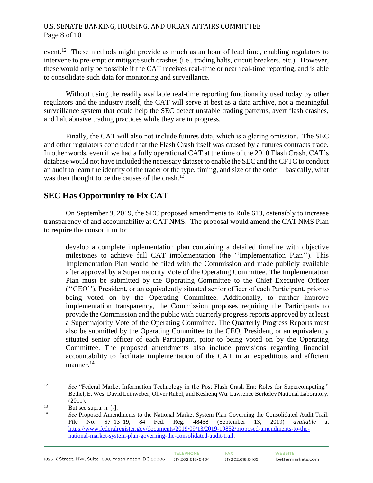### U.S. SENATE BANKING, HOUSING, AND URBAN AFFAIRS COMMITTEE Page 8 of 10

event.<sup>12</sup> These methods might provide as much as an hour of lead time, enabling regulators to intervene to pre-empt or mitigate such crashes (i.e., trading halts, circuit breakers, etc.). However, these would only be possible if the CAT receives real-time or near real-time reporting, and is able to consolidate such data for monitoring and surveillance.

Without using the readily available real-time reporting functionality used today by other regulators and the industry itself, the CAT will serve at best as a data archive, not a meaningful surveillance system that could help the SEC detect unstable trading patterns, avert flash crashes, and halt abusive trading practices while they are in progress.

Finally, the CAT will also not include futures data, which is a glaring omission. The SEC and other regulators concluded that the Flash Crash itself was caused by a futures contracts trade. In other words, even if we had a fully operational CAT at the time of the 2010 Flash Crash, CAT's database would not have included the necessary dataset to enable the SEC and the CFTC to conduct an audit to learn the identity of the trader or the type, timing, and size of the order – basically, what was then thought to be the causes of the crash.<sup>13</sup>

# **SEC Has Opportunity to Fix CAT**

On September 9, 2019, the SEC proposed amendments to Rule 613, ostensibly to increase transparency of and accountability at CAT NMS. The proposal would amend the CAT NMS Plan to require the consortium to:

develop a complete implementation plan containing a detailed timeline with objective milestones to achieve full CAT implementation (the ''Implementation Plan''). This Implementation Plan would be filed with the Commission and made publicly available after approval by a Supermajority Vote of the Operating Committee. The Implementation Plan must be submitted by the Operating Committee to the Chief Executive Officer (''CEO''), President, or an equivalently situated senior officer of each Participant, prior to being voted on by the Operating Committee. Additionally, to further improve implementation transparency, the Commission proposes requiring the Participants to provide the Commission and the public with quarterly progress reports approved by at least a Supermajority Vote of the Operating Committee. The Quarterly Progress Reports must also be submitted by the Operating Committee to the CEO, President, or an equivalently situated senior officer of each Participant, prior to being voted on by the Operating Committee. The proposed amendments also include provisions regarding financial accountability to facilitate implementation of the CAT in an expeditious and efficient manner.<sup>14</sup>

 $12 \text{ }$ <sup>12</sup> *See* "Federal Market Information Technology in the Post Flash Crash Era: Roles for Supercomputing." Bethel, E. Wes; David Leinweber; Oliver Rubel; and Keshenq Wu. Lawrence Berkeley National Laboratory. (2011).

 $13$  But see supra. n. [-].

<sup>14</sup> *See* Proposed Amendments to the National Market System Plan Governing the Consolidated Audit Trail. File No. S7–13–19, 84 Fed. Reg. 48458 (September 13, 2019) *available* at [https://www.federalregister.gov/documents/2019/09/13/2019-19852/proposed-amendments-to-the](https://www.federalregister.gov/documents/2019/09/13/2019-19852/proposed-amendments-to-the-national-market-system-plan-governing-the-consolidated-audit-trail)[national-market-system-plan-governing-the-consolidated-audit-trail.](https://www.federalregister.gov/documents/2019/09/13/2019-19852/proposed-amendments-to-the-national-market-system-plan-governing-the-consolidated-audit-trail)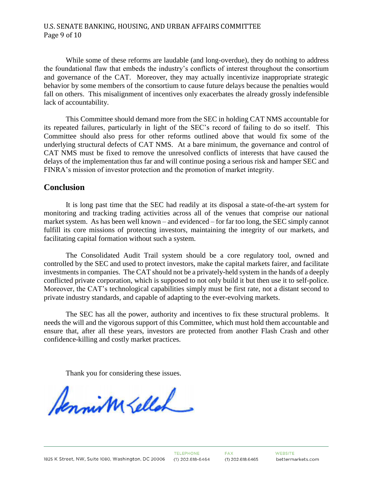#### U.S. SENATE BANKING, HOUSING, AND URBAN AFFAIRS COMMITTEE Page 9 of 10

While some of these reforms are laudable (and long-overdue), they do nothing to address the foundational flaw that embeds the industry's conflicts of interest throughout the consortium and governance of the CAT. Moreover, they may actually incentivize inappropriate strategic behavior by some members of the consortium to cause future delays because the penalties would fall on others. This misalignment of incentives only exacerbates the already grossly indefensible lack of accountability.

This Committee should demand more from the SEC in holding CAT NMS accountable for its repeated failures, particularly in light of the SEC's record of failing to do so itself. This Committee should also press for other reforms outlined above that would fix some of the underlying structural defects of CAT NMS. At a bare minimum, the governance and control of CAT NMS must be fixed to remove the unresolved conflicts of interests that have caused the delays of the implementation thus far and will continue posing a serious risk and hamper SEC and FINRA's mission of investor protection and the promotion of market integrity.

#### **Conclusion**

It is long past time that the SEC had readily at its disposal a state-of-the-art system for monitoring and tracking trading activities across all of the venues that comprise our national market system. As has been well known – and evidenced – for far too long, the SEC simply cannot fulfill its core missions of protecting investors, maintaining the integrity of our markets, and facilitating capital formation without such a system.

The Consolidated Audit Trail system should be a core regulatory tool, owned and controlled by the SEC and used to protect investors, make the capital markets fairer, and facilitate investments in companies. The CAT should not be a privately-held system in the hands of a deeply conflicted private corporation, which is supposed to not only build it but then use it to self-police. Moreover, the CAT's technological capabilities simply must be first rate, not a distant second to private industry standards, and capable of adapting to the ever-evolving markets.

The SEC has all the power, authority and incentives to fix these structural problems. It needs the will and the vigorous support of this Committee, which must hold them accountable and ensure that, after all these years, investors are protected from another Flash Crash and other confidence-killing and costly market practices.

Thank you for considering these issues.

Aennism Lellah